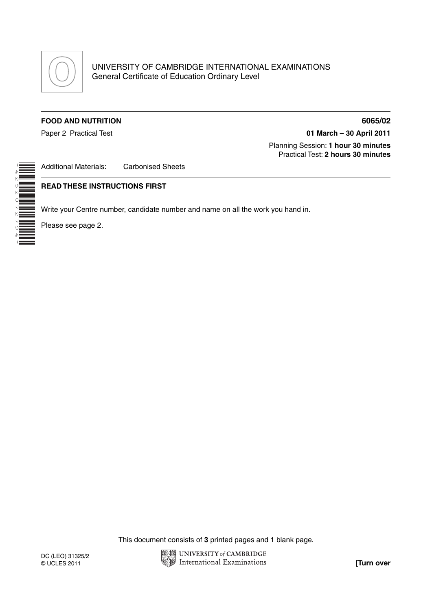

## **FOOD AND NUTRITION 6065/02**

Paper 2 Practical Test **01 March – 30 April 2011**

 Planning Session: **1 hour 30 minutes** Practical Test: **2 hours 30 minutes**

\*4252072794\*

Additional Materials: Carbonised Sheets

## **READ THESE INSTRUCTIONS FIRST**

Write your Centre number, candidate number and name on all the work you hand in.

Please see page 2.

This document consists of **3** printed pages and **1** blank page.

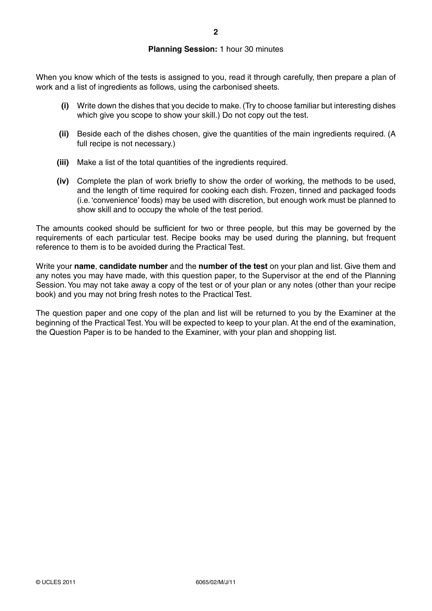## **Planning Session:** 1 hour 30 minutes

When you know which of the tests is assigned to you, read it through carefully, then prepare a plan of work and a list of ingredients as follows, using the carbonised sheets.

- **(i)** Write down the dishes that you decide to make. (Try to choose familiar but interesting dishes which give you scope to show your skill.) Do not copy out the test.
- **(ii)** Beside each of the dishes chosen, give the quantities of the main ingredients required. (A full recipe is not necessary.)
- **(iii)** Make a list of the total quantities of the ingredients required.
- **(iv)** Complete the plan of work briefly to show the order of working, the methods to be used, and the length of time required for cooking each dish. Frozen, tinned and packaged foods (i.e. 'convenience' foods) may be used with discretion, but enough work must be planned to show skill and to occupy the whole of the test period.

The amounts cooked should be sufficient for two or three people, but this may be governed by the requirements of each particular test. Recipe books may be used during the planning, but frequent reference to them is to be avoided during the Practical Test.

Write your **name**, **candidate number** and the **number of the test** on your plan and list. Give them and any notes you may have made, with this question paper, to the Supervisor at the end of the Planning Session. You may not take away a copy of the test or of your plan or any notes (other than your recipe book) and you may not bring fresh notes to the Practical Test.

The question paper and one copy of the plan and list will be returned to you by the Examiner at the beginning of the Practical Test. You will be expected to keep to your plan. At the end of the examination, the Question Paper is to be handed to the Examiner, with your plan and shopping list.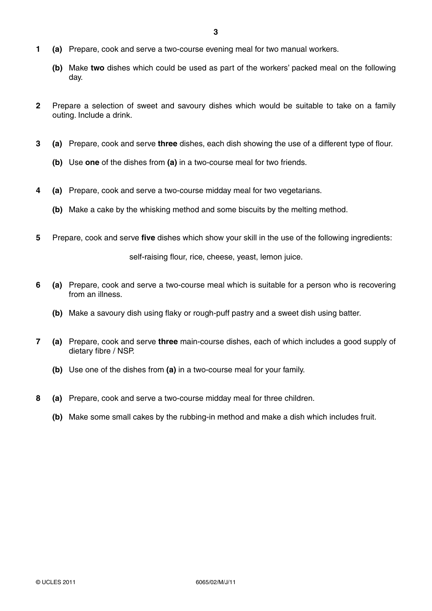- **1 (a)** Prepare, cook and serve a two-course evening meal for two manual workers.
	- **(b)** Make **two** dishes which could be used as part of the workers' packed meal on the following day.
- **2** Prepare a selection of sweet and savoury dishes which would be suitable to take on a family outing. Include a drink.
- **3 (a)** Prepare, cook and serve **three** dishes, each dish showing the use of a different type of flour.
	- **(b)** Use **one** of the dishes from **(a)** in a two-course meal for two friends.
- **4 (a)** Prepare, cook and serve a two-course midday meal for two vegetarians.
	- **(b)** Make a cake by the whisking method and some biscuits by the melting method.
- **5** Prepare, cook and serve **five** dishes which show your skill in the use of the following ingredients:

self-raising flour, rice, cheese, yeast, lemon juice.

- **6 (a)** Prepare, cook and serve a two-course meal which is suitable for a person who is recovering from an illness.
	- **(b)** Make a savoury dish using flaky or rough-puff pastry and a sweet dish using batter.
- **7 (a)** Prepare, cook and serve **three** main-course dishes, each of which includes a good supply of dietary fibre / NSP.
	- **(b)** Use one of the dishes from **(a)** in a two-course meal for your family.
- **8 (a)** Prepare, cook and serve a two-course midday meal for three children.
	- **(b)** Make some small cakes by the rubbing-in method and make a dish which includes fruit.